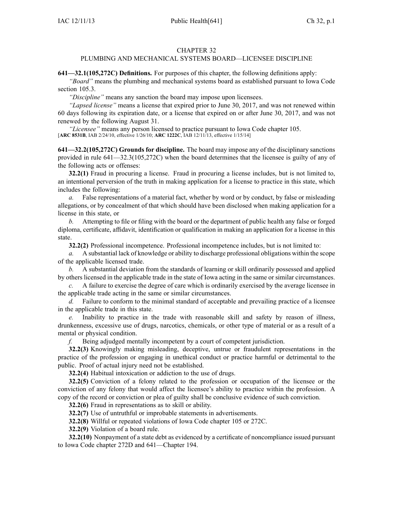## CHAPTER 32

## PLUMBING AND MECHANICAL SYSTEMS BOARD—LICENSEE DISCIPLINE

**641—32.1(105,272C) Definitions.** For purposes of this chapter, the following definitions apply:

*"Board"* means the plumbing and mechanical systems board as established pursuan<sup>t</sup> to Iowa Code section 105.3.

*"Discipline"* means any sanction the board may impose upon licensees.

*"Lapsed license"* means <sup>a</sup> license that expired prior to June 30, 2017, and was not renewed within 60 days following its expiration date, or <sup>a</sup> license that expired on or after June 30, 2017, and was not renewed by the following August 31.

*"Licensee"* means any person licensed to practice pursuan<sup>t</sup> to Iowa Code chapter 105. [**ARC 8531B**, IAB 2/24/10, effective 1/26/10; **ARC 1222C**, IAB 12/11/13, effective 1/15/14]

**641—32.2(105,272C) Grounds for discipline.** The board may impose any of the disciplinary sanctions provided in rule 641—32.3(105,272C) when the board determines that the licensee is guilty of any of the following acts or offenses:

**32.2(1)** Fraud in procuring <sup>a</sup> license. Fraud in procuring <sup>a</sup> license includes, but is not limited to, an intentional perversion of the truth in making application for <sup>a</sup> license to practice in this state, which includes the following:

*a.* False representations of <sup>a</sup> material fact, whether by word or by conduct, by false or misleading allegations, or by concealment of that which should have been disclosed when making application for <sup>a</sup> license in this state, or

*b.* Attempting to file or filing with the board or the department of public health any false or forged diploma, certificate, affidavit, identification or qualification in making an application for <sup>a</sup> license in this state.

**32.2(2)** Professional incompetence. Professional incompetence includes, but is not limited to:

*a.* A substantial lack of knowledge or ability to discharge professional obligations within the scope of the applicable licensed trade.

*b.* A substantial deviation from the standards of learning or skill ordinarily possessed and applied by others licensed in the applicable trade in the state of Iowa acting in the same or similar circumstances.

*c.* A failure to exercise the degree of care which is ordinarily exercised by the average licensee in the applicable trade acting in the same or similar circumstances.

*d.* Failure to conform to the minimal standard of acceptable and prevailing practice of a licensee in the applicable trade in this state.

*e.* Inability to practice in the trade with reasonable skill and safety by reason of illness, drunkenness, excessive use of drugs, narcotics, chemicals, or other type of material or as <sup>a</sup> result of <sup>a</sup> mental or physical condition.

*f.* Being adjudged mentally incompetent by <sup>a</sup> court of competent jurisdiction.

**32.2(3)** Knowingly making misleading, deceptive, untrue or fraudulent representations in the practice of the profession or engaging in unethical conduct or practice harmful or detrimental to the public. Proof of actual injury need not be established.

**32.2(4)** Habitual intoxication or addiction to the use of drugs.

**32.2(5)** Conviction of <sup>a</sup> felony related to the profession or occupation of the licensee or the conviction of any felony that would affect the licensee's ability to practice within the profession. A copy of the record or conviction or plea of guilty shall be conclusive evidence of such conviction.

**32.2(6)** Fraud in representations as to skill or ability.

**32.2(7)** Use of untruthful or improbable statements in advertisements.

**32.2(8)** Willful or repeated violations of Iowa Code chapter 105 or 272C.

**32.2(9)** Violation of <sup>a</sup> board rule.

**32.2(10)** Nonpayment of <sup>a</sup> state debt as evidenced by <sup>a</sup> certificate of noncompliance issued pursuan<sup>t</sup> to Iowa Code chapter 272D and 641—Chapter 194.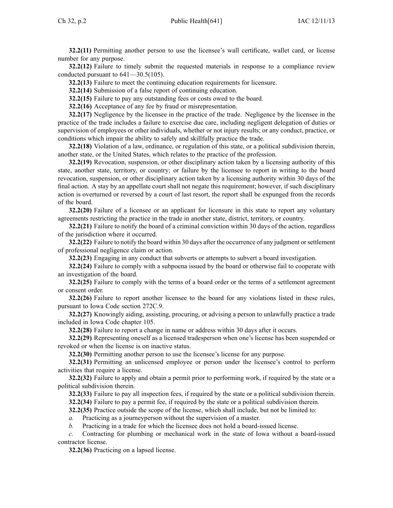**32.2(11)** Permitting another person to use the licensee's wall certificate, wallet card, or license number for any purpose.

**32.2(12)** Failure to timely submit the requested materials in response to <sup>a</sup> compliance review conducted pursuan<sup>t</sup> to 641—30.5(105).

**32.2(13)** Failure to meet the continuing education requirements for licensure.

**32.2(14)** Submission of <sup>a</sup> false repor<sup>t</sup> of continuing education.

**32.2(15)** Failure to pay any outstanding fees or costs owed to the board.

**32.2(16)** Acceptance of any fee by fraud or misrepresentation.

**32.2(17)** Negligence by the licensee in the practice of the trade. Negligence by the licensee in the practice of the trade includes <sup>a</sup> failure to exercise due care, including negligent delegation of duties or supervision of employees or other individuals, whether or not injury results; or any conduct, practice, or conditions which impair the ability to safely and skillfully practice the trade.

**32.2(18)** Violation of <sup>a</sup> law, ordinance, or regulation of this state, or <sup>a</sup> political subdivision therein, another state, or the United States, which relates to the practice of the profession.

**32.2(19)** Revocation, suspension, or other disciplinary action taken by <sup>a</sup> licensing authority of this state, another state, territory, or country; or failure by the licensee to repor<sup>t</sup> in writing to the board revocation, suspension, or other disciplinary action taken by <sup>a</sup> licensing authority within 30 days of the final action. A stay by an appellate court shall not negate this requirement; however, if such disciplinary action is overturned or reversed by <sup>a</sup> court of last resort, the repor<sup>t</sup> shall be expunged from the records of the board.

**32.2(20)** Failure of <sup>a</sup> licensee or an applicant for licensure in this state to repor<sup>t</sup> any voluntary agreements restricting the practice in the trade in another state, district, territory, or country.

**32.2(21)** Failure to notify the board of <sup>a</sup> criminal conviction within 30 days of the action, regardless of the jurisdiction where it occurred.

**32.2(22)** Failure to notify the board within 30 days after the occurrence of any judgment orsettlement of professional negligence claim or action.

**32.2(23)** Engaging in any conduct that subverts or attempts to subvert <sup>a</sup> board investigation.

**32.2(24)** Failure to comply with <sup>a</sup> subpoena issued by the board or otherwise fail to cooperate with an investigation of the board.

**32.2(25)** Failure to comply with the terms of <sup>a</sup> board order or the terms of <sup>a</sup> settlement agreemen<sup>t</sup> or consent order.

**32.2(26)** Failure to repor<sup>t</sup> another licensee to the board for any violations listed in these rules, pursuan<sup>t</sup> to Iowa Code section 272C.9.

**32.2(27)** Knowingly aiding, assisting, procuring, or advising <sup>a</sup> person to unlawfully practice <sup>a</sup> trade included in Iowa Code chapter 105.

**32.2(28)** Failure to repor<sup>t</sup> <sup>a</sup> change in name or address within 30 days after it occurs.

**32.2(29)** Representing oneself as <sup>a</sup> licensed tradesperson when one's license has been suspended or revoked or when the license is on inactive status.

**32.2(30)** Permitting another person to use the licensee's license for any purpose.

**32.2(31)** Permitting an unlicensed employee or person under the licensee's control to perform activities that require <sup>a</sup> license.

**32.2(32)** Failure to apply and obtain <sup>a</sup> permit prior to performing work, if required by the state or <sup>a</sup> political subdivision therein.

**32.2(33)** Failure to pay all inspection fees, if required by the state or <sup>a</sup> political subdivision therein. **32.2(34)** Failure to pay <sup>a</sup> permit fee, if required by the state or <sup>a</sup> political subdivision therein.

**32.2(35)** Practice outside the scope of the license, which shall include, but not be limited to:

*a.* Practicing as <sup>a</sup> journeyperson without the supervision of <sup>a</sup> master.

*b.* Practicing in <sup>a</sup> trade for which the licensee does not hold <sup>a</sup> board-issued license.

*c.* Contracting for plumbing or mechanical work in the state of Iowa without <sup>a</sup> board-issued contractor license.

**32.2(36)** Practicing on <sup>a</sup> lapsed license.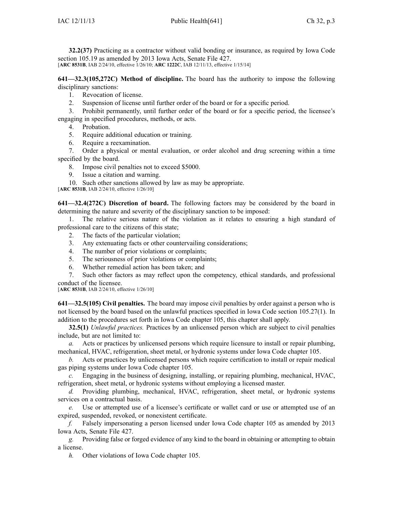**32.2(37)** Practicing as <sup>a</sup> contractor without valid bonding or insurance, as required by Iowa Code section 105.19 as amended by 2013 Iowa Acts, Senate File 427. [**ARC 8531B**, IAB 2/24/10, effective 1/26/10; **ARC 1222C**, IAB 12/11/13, effective 1/15/14]

**641—32.3(105,272C) Method of discipline.** The board has the authority to impose the following disciplinary sanctions:

1. Revocation of license.

2. Suspension of license until further order of the board or for <sup>a</sup> specific period.

3. Prohibit permanently, until further order of the board or for <sup>a</sup> specific period, the licensee's engaging in specified procedures, methods, or acts.

4. Probation.

- 5. Require additional education or training.
- 6. Require <sup>a</sup> reexamination.

7. Order <sup>a</sup> physical or mental evaluation, or order alcohol and drug screening within <sup>a</sup> time specified by the board.

8. Impose civil penalties not to exceed \$5000.

9. Issue <sup>a</sup> citation and warning.

10. Such other sanctions allowed by law as may be appropriate.

[**ARC 8531B**, IAB 2/24/10, effective 1/26/10]

**641—32.4(272C) Discretion of board.** The following factors may be considered by the board in determining the nature and severity of the disciplinary sanction to be imposed:

1. The relative serious nature of the violation as it relates to ensuring <sup>a</sup> high standard of professional care to the citizens of this state;

- 2. The facts of the particular violation;
- 3. Any extenuating facts or other countervailing considerations;
- 4. The number of prior violations or complaints;
- 5. The seriousness of prior violations or complaints;
- 6. Whether remedial action has been taken; and

7. Such other factors as may reflect upon the competency, ethical standards, and professional conduct of the licensee.

[**ARC 8531B**, IAB 2/24/10, effective 1/26/10]

**641—32.5(105) Civil penalties.** The board may impose civil penalties by order against <sup>a</sup> person who is not licensed by the board based on the unlawful practices specified in Iowa Code section 105.27(1). In addition to the procedures set forth in Iowa Code chapter 105, this chapter shall apply.

**32.5(1)** *Unlawful practices.* Practices by an unlicensed person which are subject to civil penalties include, but are not limited to:

*a.* Acts or practices by unlicensed persons which require licensure to install or repair plumbing, mechanical, HVAC, refrigeration, sheet metal, or hydronic systems under Iowa Code chapter 105.

*b.* Acts or practices by unlicensed persons which require certification to install or repair medical gas piping systems under Iowa Code chapter 105.

*c.* Engaging in the business of designing, installing, or repairing plumbing, mechanical, HVAC, refrigeration, sheet metal, or hydronic systems without employing <sup>a</sup> licensed master.

*d.* Providing plumbing, mechanical, HVAC, refrigeration, sheet metal, or hydronic systems services on <sup>a</sup> contractual basis.

*e.* Use or attempted use of <sup>a</sup> licensee's certificate or wallet card or use or attempted use of an expired, suspended, revoked, or nonexistent certificate.

*f.* Falsely impersonating <sup>a</sup> person licensed under Iowa Code chapter 105 as amended by 2013 Iowa Acts, Senate File 427.

*g.* Providing false or forged evidence of any kind to the board in obtaining or attempting to obtain <sup>a</sup> license.

*h.* Other violations of Iowa Code chapter 105.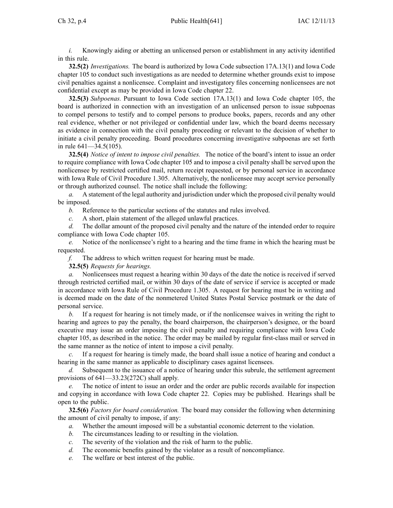*i.* Knowingly aiding or abetting an unlicensed person or establishment in any activity identified in this rule.

**32.5(2)** *Investigations.* The board is authorized by Iowa Code subsection 17A.13(1) and Iowa Code chapter 105 to conduct such investigations as are needed to determine whether grounds exist to impose civil penalties against <sup>a</sup> nonlicensee. Complaint and investigatory files concerning nonlicensees are not confidential excep<sup>t</sup> as may be provided in Iowa Code chapter 22.

**32.5(3)** *Subpoenas.* Pursuant to Iowa Code section 17A.13(1) and Iowa Code chapter 105, the board is authorized in connection with an investigation of an unlicensed person to issue subpoenas to compel persons to testify and to compel persons to produce books, papers, records and any other real evidence, whether or not privileged or confidential under law, which the board deems necessary as evidence in connection with the civil penalty proceeding or relevant to the decision of whether to initiate <sup>a</sup> civil penalty proceeding. Board procedures concerning investigative subpoenas are set forth in rule 641—34.5(105).

**32.5(4)** *Notice of intent to impose civil penalties.* The notice of the board's intent to issue an order to require compliance with Iowa Code chapter 105 and to impose <sup>a</sup> civil penalty shall be served upon the nonlicensee by restricted certified mail, return receipt requested, or by personal service in accordance with Iowa Rule of Civil Procedure 1.305. Alternatively, the nonlicensee may accept service personally or through authorized counsel. The notice shall include the following:

*a.* A statement of the legal authority and jurisdiction under which the proposed civil penalty would be imposed.

*b.* Reference to the particular sections of the statutes and rules involved.

*c.* A short, plain statement of the alleged unlawful practices.

*d.* The dollar amount of the proposed civil penalty and the nature of the intended order to require compliance with Iowa Code chapter 105.

*e.* Notice of the nonlicensee's right to <sup>a</sup> hearing and the time frame in which the hearing must be requested.

*f.* The address to which written reques<sup>t</sup> for hearing must be made.

**32.5(5)** *Requests for hearings.*

*a.* Nonlicensees must reques<sup>t</sup> <sup>a</sup> hearing within 30 days of the date the notice is received if served through restricted certified mail, or within 30 days of the date of service if service is accepted or made in accordance with Iowa Rule of Civil Procedure 1.305. A reques<sup>t</sup> for hearing must be in writing and is deemed made on the date of the nonmetered United States Postal Service postmark or the date of personal service.

*b.* If <sup>a</sup> reques<sup>t</sup> for hearing is not timely made, or if the nonlicensee waives in writing the right to hearing and agrees to pay the penalty, the board chairperson, the chairperson's designee, or the board executive may issue an order imposing the civil penalty and requiring compliance with Iowa Code chapter 105, as described in the notice. The order may be mailed by regular first-class mail or served in the same manner as the notice of intent to impose <sup>a</sup> civil penalty.

*c.* If <sup>a</sup> reques<sup>t</sup> for hearing is timely made, the board shall issue <sup>a</sup> notice of hearing and conduct <sup>a</sup> hearing in the same manner as applicable to disciplinary cases against licensees.

*d.* Subsequent to the issuance of <sup>a</sup> notice of hearing under this subrule, the settlement agreemen<sup>t</sup> provisions of 641—33.23(272C) shall apply.

*e.* The notice of intent to issue an order and the order are public records available for inspection and copying in accordance with Iowa Code chapter 22. Copies may be published. Hearings shall be open to the public.

**32.5(6)** *Factors for board consideration.* The board may consider the following when determining the amount of civil penalty to impose, if any:

- *a.* Whether the amount imposed will be <sup>a</sup> substantial economic deterrent to the violation.
- *b.* The circumstances leading to or resulting in the violation.
- *c.* The severity of the violation and the risk of harm to the public.
- *d.* The economic benefits gained by the violator as <sup>a</sup> result of noncompliance.
- *e.* The welfare or best interest of the public.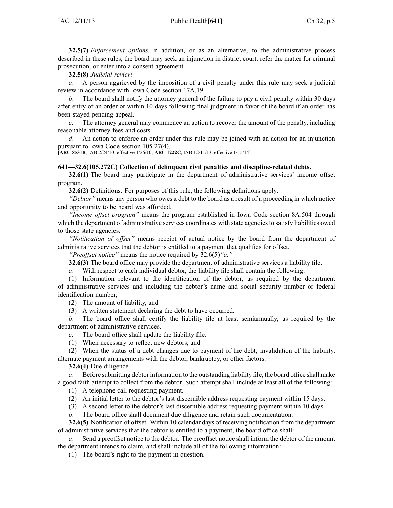**32.5(7)** *Enforcement options.* In addition, or as an alternative, to the administrative process described in these rules, the board may seek an injunction in district court, refer the matter for criminal prosecution, or enter into <sup>a</sup> consent agreement.

**32.5(8)** *Judicial review.*

*a.* A person aggrieved by the imposition of <sup>a</sup> civil penalty under this rule may seek <sup>a</sup> judicial review in accordance with Iowa Code section 17A.19.

*b.* The board shall notify the attorney general of the failure to pay <sup>a</sup> civil penalty within 30 days after entry of an order or within 10 days following final judgment in favor of the board if an order has been stayed pending appeal.

*c.* The attorney general may commence an action to recover the amount of the penalty, including reasonable attorney fees and costs.

*d.* An action to enforce an order under this rule may be joined with an action for an injunction pursuan<sup>t</sup> to Iowa Code section 105.27(4).

[**ARC 8531B**, IAB 2/24/10, effective 1/26/10; **ARC 1222C**, IAB 12/11/13, effective 1/15/14]

## **641—32.6(105,272C) Collection of delinquent civil penalties and discipline-related debts.**

**32.6(1)** The board may participate in the department of administrative services' income offset program.

**32.6(2)** Definitions. For purposes of this rule, the following definitions apply:

*"Debtor"* means any person who owes <sup>a</sup> debt to the board as <sup>a</sup> result of <sup>a</sup> proceeding in which notice and opportunity to be heard was afforded.

*"Income offset program"* means the program established in Iowa Code section 8A.504 through which the department of administrative services coordinates with state agencies to satisfy liabilities owed to those state agencies.

*"Notification of offset"* means receipt of actual notice by the board from the department of administrative services that the debtor is entitled to <sup>a</sup> paymen<sup>t</sup> that qualifies for offset.

*"Preoffset notice"* means the notice required by 32.6(5)*"a."*

**32.6(3)** The board office may provide the department of administrative services <sup>a</sup> liability file.

*a.* With respec<sup>t</sup> to each individual debtor, the liability file shall contain the following:

(1) Information relevant to the identification of the debtor, as required by the department of administrative services and including the debtor's name and social security number or federal identification number,

(2) The amount of liability, and

(3) A written statement declaring the debt to have occurred.

*b.* The board office shall certify the liability file at least semiannually, as required by the department of administrative services.

*c.* The board office shall update the liability file:

(1) When necessary to reflect new debtors, and

(2) When the status of <sup>a</sup> debt changes due to paymen<sup>t</sup> of the debt, invalidation of the liability, alternate paymen<sup>t</sup> arrangements with the debtor, bankruptcy, or other factors.

**32.6(4)** Due diligence.

*a.* Before submitting debtor information to the outstanding liability file, the board office shall make <sup>a</sup> good faith attempt to collect from the debtor. Such attempt shall include at least all of the following:

(1) A telephone call requesting payment.

(2) An initial letter to the debtor's last discernible address requesting paymen<sup>t</sup> within 15 days.

(3) A second letter to the debtor's last discernible address requesting paymen<sup>t</sup> within 10 days.

*b.* The board office shall document due diligence and retain such documentation.

**32.6(5)** Notification of offset. Within 10 calendar days of receiving notification from the department of administrative services that the debtor is entitled to <sup>a</sup> payment, the board office shall:

Send a preoffset notice to the debtor. The preoffset notice shall inform the debtor of the amount the department intends to claim, and shall include all of the following information:

(1) The board's right to the paymen<sup>t</sup> in question.